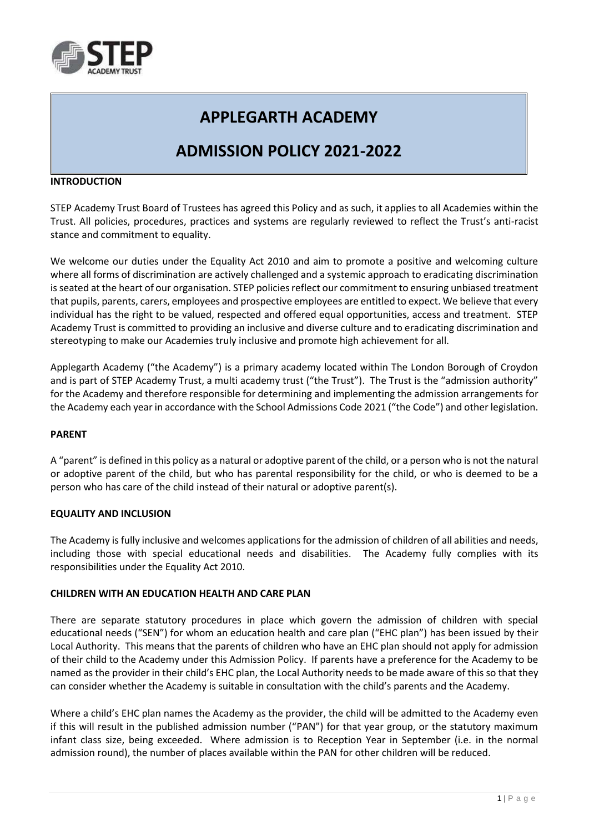

# **APPLEGARTH ACADEMY**

## **ADMISSION POLICY 2021-2022**

#### **INTRODUCTION**

STEP Academy Trust Board of Trustees has agreed this Policy and as such, it applies to all Academies within the Trust. All policies, procedures, practices and systems are regularly reviewed to reflect the Trust's anti-racist stance and commitment to equality.

We welcome our duties under the Equality Act 2010 and aim to promote a positive and welcoming culture where all forms of discrimination are actively challenged and a systemic approach to eradicating discrimination is seated at the heart of our organisation. STEP policies reflect our commitment to ensuring unbiased treatment that pupils, parents, carers, employees and prospective employees are entitled to expect. We believe that every individual has the right to be valued, respected and offered equal opportunities, access and treatment. STEP Academy Trust is committed to providing an inclusive and diverse culture and to eradicating discrimination and stereotyping to make our Academies truly inclusive and promote high achievement for all.

Applegarth Academy ("the Academy") is a primary academy located within The London Borough of Croydon and is part of STEP Academy Trust, a multi academy trust ("the Trust"). The Trust is the "admission authority" for the Academy and therefore responsible for determining and implementing the admission arrangements for the Academy each year in accordance with the School Admissions Code 2021 ("the Code") and other legislation.

#### **PARENT**

A "parent" is defined in this policy as a natural or adoptive parent of the child, or a person who is not the natural or adoptive parent of the child, but who has parental responsibility for the child, or who is deemed to be a person who has care of the child instead of their natural or adoptive parent(s).

#### **EQUALITY AND INCLUSION**

The Academy is fully inclusive and welcomes applications for the admission of children of all abilities and needs, including those with special educational needs and disabilities. The Academy fully complies with its responsibilities under the Equality Act 2010.

#### **CHILDREN WITH AN EDUCATION HEALTH AND CARE PLAN**

There are separate statutory procedures in place which govern the admission of children with special educational needs ("SEN") for whom an education health and care plan ("EHC plan") has been issued by their Local Authority. This means that the parents of children who have an EHC plan should not apply for admission of their child to the Academy under this Admission Policy. If parents have a preference for the Academy to be named as the provider in their child's EHC plan, the Local Authority needs to be made aware of this so that they can consider whether the Academy is suitable in consultation with the child's parents and the Academy.

Where a child's EHC plan names the Academy as the provider, the child will be admitted to the Academy even if this will result in the published admission number ("PAN") for that year group, or the statutory maximum infant class size, being exceeded. Where admission is to Reception Year in September (i.e. in the normal admission round), the number of places available within the PAN for other children will be reduced.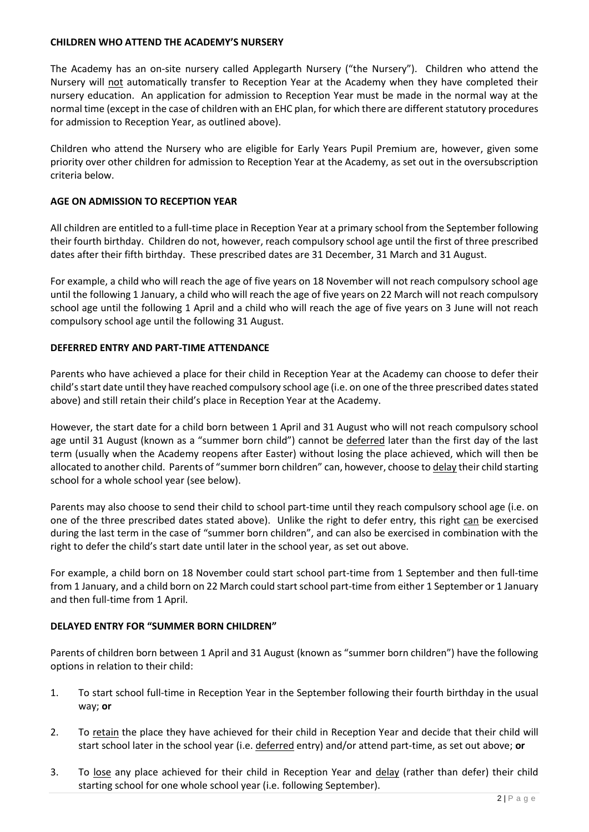#### **CHILDREN WHO ATTEND THE ACADEMY'S NURSERY**

The Academy has an on-site nursery called Applegarth Nursery ("the Nursery"). Children who attend the Nursery will not automatically transfer to Reception Year at the Academy when they have completed their nursery education. An application for admission to Reception Year must be made in the normal way at the normal time (except in the case of children with an EHC plan, for which there are different statutory procedures for admission to Reception Year, as outlined above).

Children who attend the Nursery who are eligible for Early Years Pupil Premium are, however, given some priority over other children for admission to Reception Year at the Academy, as set out in the oversubscription criteria below.

## **AGE ON ADMISSION TO RECEPTION YEAR**

All children are entitled to a full-time place in Reception Year at a primary school from the September following their fourth birthday. Children do not, however, reach compulsory school age until the first of three prescribed dates after their fifth birthday. These prescribed dates are 31 December, 31 March and 31 August.

For example, a child who will reach the age of five years on 18 November will not reach compulsory school age until the following 1 January, a child who will reach the age of five years on 22 March will not reach compulsory school age until the following 1 April and a child who will reach the age of five years on 3 June will not reach compulsory school age until the following 31 August.

## **DEFERRED ENTRY AND PART-TIME ATTENDANCE**

Parents who have achieved a place for their child in Reception Year at the Academy can choose to defer their child's start date until they have reached compulsory school age (i.e. on one of the three prescribed dates stated above) and still retain their child's place in Reception Year at the Academy.

However, the start date for a child born between 1 April and 31 August who will not reach compulsory school age until 31 August (known as a "summer born child") cannot be deferred later than the first day of the last term (usually when the Academy reopens after Easter) without losing the place achieved, which will then be allocated to another child. Parents of "summer born children" can, however, choose to delay their child starting school for a whole school year (see below).

Parents may also choose to send their child to school part-time until they reach compulsory school age (i.e. on one of the three prescribed dates stated above). Unlike the right to defer entry, this right can be exercised during the last term in the case of "summer born children", and can also be exercised in combination with the right to defer the child's start date until later in the school year, as set out above.

For example, a child born on 18 November could start school part-time from 1 September and then full-time from 1 January, and a child born on 22 March could start school part-time from either 1 September or 1 January and then full-time from 1 April.

#### **DELAYED ENTRY FOR "SUMMER BORN CHILDREN"**

Parents of children born between 1 April and 31 August (known as "summer born children") have the following options in relation to their child:

- 1. To start school full-time in Reception Year in the September following their fourth birthday in the usual way; **or**
- 2. To retain the place they have achieved for their child in Reception Year and decide that their child will start school later in the school year (i.e. deferred entry) and/or attend part-time, as set out above; **or**
- 3. To lose any place achieved for their child in Reception Year and delay (rather than defer) their child starting school for one whole school year (i.e. following September).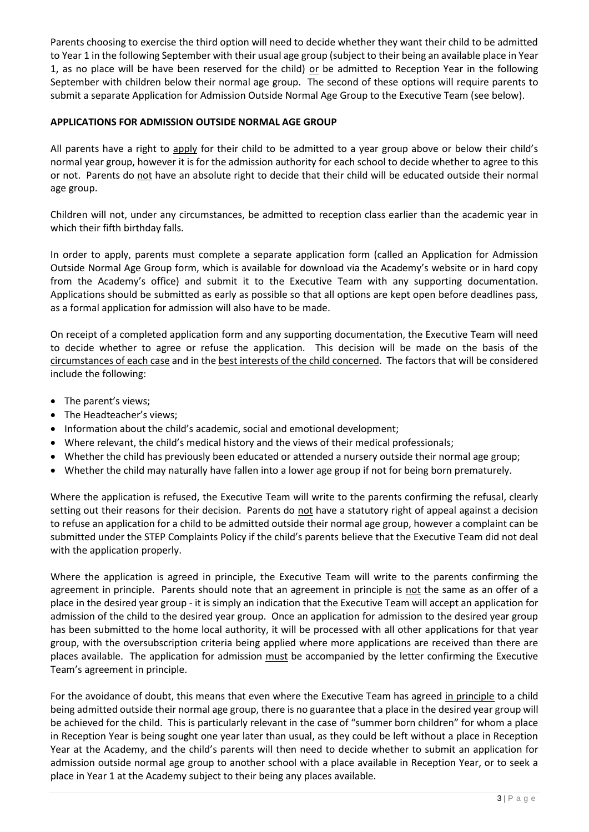Parents choosing to exercise the third option will need to decide whether they want their child to be admitted to Year 1 in the following September with their usual age group (subject to their being an available place in Year 1, as no place will be have been reserved for the child) or be admitted to Reception Year in the following September with children below their normal age group. The second of these options will require parents to submit a separate Application for Admission Outside Normal Age Group to the Executive Team (see below).

## **APPLICATIONS FOR ADMISSION OUTSIDE NORMAL AGE GROUP**

All parents have a right to apply for their child to be admitted to a year group above or below their child's normal year group, however it is for the admission authority for each school to decide whether to agree to this or not. Parents do not have an absolute right to decide that their child will be educated outside their normal age group.

Children will not, under any circumstances, be admitted to reception class earlier than the academic year in which their fifth birthday falls.

In order to apply, parents must complete a separate application form (called an Application for Admission Outside Normal Age Group form, which is available for download via the Academy's website or in hard copy from the Academy's office) and submit it to the Executive Team with any supporting documentation. Applications should be submitted as early as possible so that all options are kept open before deadlines pass, as a formal application for admission will also have to be made.

On receipt of a completed application form and any supporting documentation, the Executive Team will need to decide whether to agree or refuse the application. This decision will be made on the basis of the circumstances of each case and in the best interests of the child concerned. The factors that will be considered include the following:

- The parent's views;
- The Headteacher's views;
- Information about the child's academic, social and emotional development;
- Where relevant, the child's medical history and the views of their medical professionals;
- Whether the child has previously been educated or attended a nursery outside their normal age group;
- Whether the child may naturally have fallen into a lower age group if not for being born prematurely.

Where the application is refused, the Executive Team will write to the parents confirming the refusal, clearly setting out their reasons for their decision. Parents do not have a statutory right of appeal against a decision to refuse an application for a child to be admitted outside their normal age group, however a complaint can be submitted under the STEP Complaints Policy if the child's parents believe that the Executive Team did not deal with the application properly.

Where the application is agreed in principle, the Executive Team will write to the parents confirming the agreement in principle. Parents should note that an agreement in principle is not the same as an offer of a place in the desired year group - it is simply an indication that the Executive Team will accept an application for admission of the child to the desired year group. Once an application for admission to the desired year group has been submitted to the home local authority, it will be processed with all other applications for that year group, with the oversubscription criteria being applied where more applications are received than there are places available. The application for admission must be accompanied by the letter confirming the Executive Team's agreement in principle.

For the avoidance of doubt, this means that even where the Executive Team has agreed in principle to a child being admitted outside their normal age group, there is no guarantee that a place in the desired year group will be achieved for the child. This is particularly relevant in the case of "summer born children" for whom a place in Reception Year is being sought one year later than usual, as they could be left without a place in Reception Year at the Academy, and the child's parents will then need to decide whether to submit an application for admission outside normal age group to another school with a place available in Reception Year, or to seek a place in Year 1 at the Academy subject to their being any places available.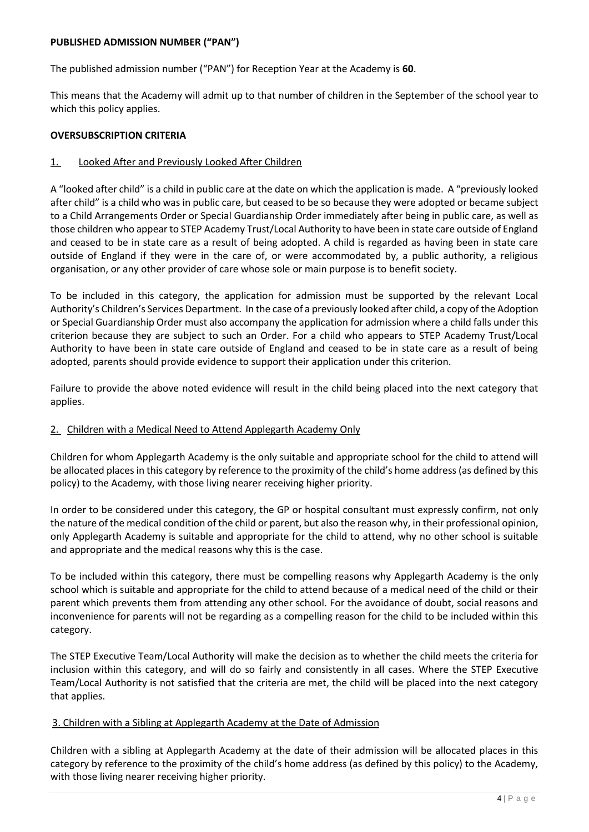#### **PUBLISHED ADMISSION NUMBER ("PAN")**

The published admission number ("PAN") for Reception Year at the Academy is **60**.

This means that the Academy will admit up to that number of children in the September of the school year to which this policy applies.

## **OVERSUBSCRIPTION CRITERIA**

## 1. Looked After and Previously Looked After Children

A "looked after child" is a child in public care at the date on which the application is made. A "previously looked after child" is a child who was in public care, but ceased to be so because they were adopted or became subject to a Child Arrangements Order or Special Guardianship Order immediately after being in public care, as well as those children who appear to STEP Academy Trust/Local Authority to have been in state care outside of England and ceased to be in state care as a result of being adopted. A child is regarded as having been in state care outside of England if they were in the care of, or were accommodated by, a public authority, a religious organisation, or any other provider of care whose sole or main purpose is to benefit society.

To be included in this category, the application for admission must be supported by the relevant Local Authority's Children's Services Department. In the case of a previously looked after child, a copy of the Adoption or Special Guardianship Order must also accompany the application for admission where a child falls under this criterion because they are subject to such an Order. For a child who appears to STEP Academy Trust/Local Authority to have been in state care outside of England and ceased to be in state care as a result of being adopted, parents should provide evidence to support their application under this criterion.

Failure to provide the above noted evidence will result in the child being placed into the next category that applies.

## 2. Children with a Medical Need to Attend Applegarth Academy Only

Children for whom Applegarth Academy is the only suitable and appropriate school for the child to attend will be allocated places in this category by reference to the proximity of the child's home address (as defined by this policy) to the Academy, with those living nearer receiving higher priority.

In order to be considered under this category, the GP or hospital consultant must expressly confirm, not only the nature of the medical condition of the child or parent, but also the reason why, in their professional opinion, only Applegarth Academy is suitable and appropriate for the child to attend, why no other school is suitable and appropriate and the medical reasons why this is the case.

To be included within this category, there must be compelling reasons why Applegarth Academy is the only school which is suitable and appropriate for the child to attend because of a medical need of the child or their parent which prevents them from attending any other school. For the avoidance of doubt, social reasons and inconvenience for parents will not be regarding as a compelling reason for the child to be included within this category.

The STEP Executive Team/Local Authority will make the decision as to whether the child meets the criteria for inclusion within this category, and will do so fairly and consistently in all cases. Where the STEP Executive Team/Local Authority is not satisfied that the criteria are met, the child will be placed into the next category that applies.

#### 3. Children with a Sibling at Applegarth Academy at the Date of Admission

Children with a sibling at Applegarth Academy at the date of their admission will be allocated places in this category by reference to the proximity of the child's home address (as defined by this policy) to the Academy, with those living nearer receiving higher priority.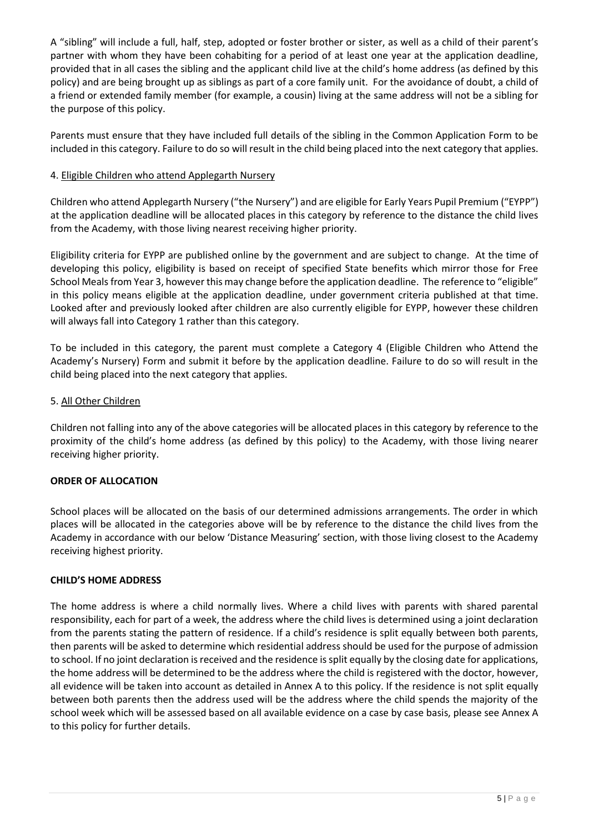A "sibling" will include a full, half, step, adopted or foster brother or sister, as well as a child of their parent's partner with whom they have been cohabiting for a period of at least one year at the application deadline, provided that in all cases the sibling and the applicant child live at the child's home address (as defined by this policy) and are being brought up as siblings as part of a core family unit. For the avoidance of doubt, a child of a friend or extended family member (for example, a cousin) living at the same address will not be a sibling for the purpose of this policy.

Parents must ensure that they have included full details of the sibling in the Common Application Form to be included in this category. Failure to do so will result in the child being placed into the next category that applies.

## 4. Eligible Children who attend Applegarth Nursery

Children who attend Applegarth Nursery ("the Nursery") and are eligible for Early Years Pupil Premium ("EYPP") at the application deadline will be allocated places in this category by reference to the distance the child lives from the Academy, with those living nearest receiving higher priority.

Eligibility criteria for EYPP are published online by the government and are subject to change. At the time of developing this policy, eligibility is based on receipt of specified State benefits which mirror those for Free School Meals from Year 3, however this may change before the application deadline. The reference to "eligible" in this policy means eligible at the application deadline, under government criteria published at that time. Looked after and previously looked after children are also currently eligible for EYPP, however these children will always fall into Category 1 rather than this category.

To be included in this category, the parent must complete a Category 4 (Eligible Children who Attend the Academy's Nursery) Form and submit it before by the application deadline. Failure to do so will result in the child being placed into the next category that applies.

## 5. All Other Children

Children not falling into any of the above categories will be allocated places in this category by reference to the proximity of the child's home address (as defined by this policy) to the Academy, with those living nearer receiving higher priority.

## **ORDER OF ALLOCATION**

School places will be allocated on the basis of our determined admissions arrangements. The order in which places will be allocated in the categories above will be by reference to the distance the child lives from the Academy in accordance with our below 'Distance Measuring' section, with those living closest to the Academy receiving highest priority.

#### **CHILD'S HOME ADDRESS**

The home address is where a child normally lives. Where a child lives with parents with shared parental responsibility, each for part of a week, the address where the child lives is determined using a joint declaration from the parents stating the pattern of residence. If a child's residence is split equally between both parents, then parents will be asked to determine which residential address should be used for the purpose of admission to school. If no joint declaration is received and the residence is split equally by the closing date for applications, the home address will be determined to be the address where the child is registered with the doctor, however, all evidence will be taken into account as detailed in Annex A to this policy. If the residence is not split equally between both parents then the address used will be the address where the child spends the majority of the school week which will be assessed based on all available evidence on a case by case basis, please see Annex A to this policy for further details.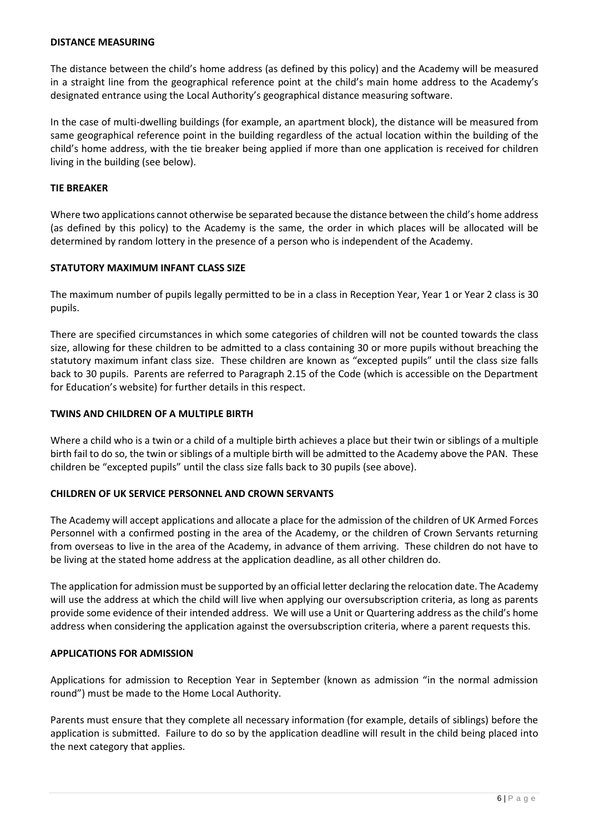#### **DISTANCE MEASURING**

The distance between the child's home address (as defined by this policy) and the Academy will be measured in a straight line from the geographical reference point at the child's main home address to the Academy's designated entrance using the Local Authority's geographical distance measuring software.

In the case of multi-dwelling buildings (for example, an apartment block), the distance will be measured from same geographical reference point in the building regardless of the actual location within the building of the child's home address, with the tie breaker being applied if more than one application is received for children living in the building (see below).

#### **TIE BREAKER**

Where two applications cannot otherwise be separated because the distance between the child's home address (as defined by this policy) to the Academy is the same, the order in which places will be allocated will be determined by random lottery in the presence of a person who is independent of the Academy.

#### **STATUTORY MAXIMUM INFANT CLASS SIZE**

The maximum number of pupils legally permitted to be in a class in Reception Year, Year 1 or Year 2 class is 30 pupils.

There are specified circumstances in which some categories of children will not be counted towards the class size, allowing for these children to be admitted to a class containing 30 or more pupils without breaching the statutory maximum infant class size. These children are known as "excepted pupils" until the class size falls back to 30 pupils. Parents are referred to Paragraph 2.15 of the Code (which is accessible on the Department for Education's website) for further details in this respect.

#### **TWINS AND CHILDREN OF A MULTIPLE BIRTH**

Where a child who is a twin or a child of a multiple birth achieves a place but their twin or siblings of a multiple birth fail to do so, the twin or siblings of a multiple birth will be admitted to the Academy above the PAN. These children be "excepted pupils" until the class size falls back to 30 pupils (see above).

#### **CHILDREN OF UK SERVICE PERSONNEL AND CROWN SERVANTS**

The Academy will accept applications and allocate a place for the admission of the children of UK Armed Forces Personnel with a confirmed posting in the area of the Academy, or the children of Crown Servants returning from overseas to live in the area of the Academy, in advance of them arriving. These children do not have to be living at the stated home address at the application deadline, as all other children do.

The application for admission must be supported by an official letter declaring the relocation date. The Academy will use the address at which the child will live when applying our oversubscription criteria, as long as parents provide some evidence of their intended address. We will use a Unit or Quartering address as the child's home address when considering the application against the oversubscription criteria, where a parent requests this.

#### **APPLICATIONS FOR ADMISSION**

Applications for admission to Reception Year in September (known as admission "in the normal admission round") must be made to the Home Local Authority.

Parents must ensure that they complete all necessary information (for example, details of siblings) before the application is submitted. Failure to do so by the application deadline will result in the child being placed into the next category that applies.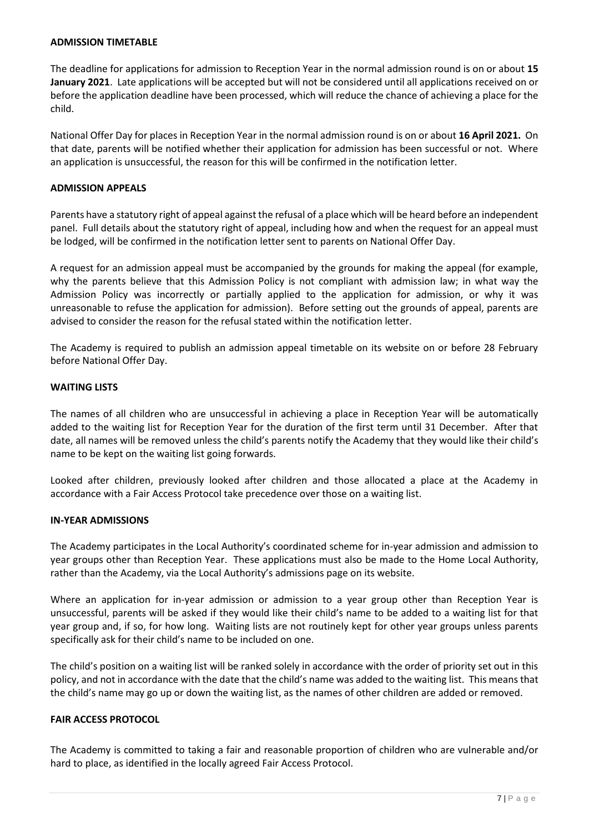#### **ADMISSION TIMETABLE**

The deadline for applications for admission to Reception Year in the normal admission round is on or about **15 January 2021**. Late applications will be accepted but will not be considered until all applications received on or before the application deadline have been processed, which will reduce the chance of achieving a place for the child.

National Offer Day for places in Reception Year in the normal admission round is on or about **16 April 2021.** On that date, parents will be notified whether their application for admission has been successful or not. Where an application is unsuccessful, the reason for this will be confirmed in the notification letter.

#### **ADMISSION APPEALS**

Parents have a statutory right of appeal against the refusal of a place which will be heard before an independent panel. Full details about the statutory right of appeal, including how and when the request for an appeal must be lodged, will be confirmed in the notification letter sent to parents on National Offer Day.

A request for an admission appeal must be accompanied by the grounds for making the appeal (for example, why the parents believe that this Admission Policy is not compliant with admission law; in what way the Admission Policy was incorrectly or partially applied to the application for admission, or why it was unreasonable to refuse the application for admission). Before setting out the grounds of appeal, parents are advised to consider the reason for the refusal stated within the notification letter.

The Academy is required to publish an admission appeal timetable on its website on or before 28 February before National Offer Day.

#### **WAITING LISTS**

The names of all children who are unsuccessful in achieving a place in Reception Year will be automatically added to the waiting list for Reception Year for the duration of the first term until 31 December. After that date, all names will be removed unless the child's parents notify the Academy that they would like their child's name to be kept on the waiting list going forwards.

Looked after children, previously looked after children and those allocated a place at the Academy in accordance with a Fair Access Protocol take precedence over those on a waiting list.

#### **IN-YEAR ADMISSIONS**

The Academy participates in the Local Authority's coordinated scheme for in-year admission and admission to year groups other than Reception Year. These applications must also be made to the Home Local Authority, rather than the Academy, via the Local Authority's admissions page on its website.

Where an application for in-year admission or admission to a year group other than Reception Year is unsuccessful, parents will be asked if they would like their child's name to be added to a waiting list for that year group and, if so, for how long. Waiting lists are not routinely kept for other year groups unless parents specifically ask for their child's name to be included on one.

The child's position on a waiting list will be ranked solely in accordance with the order of priority set out in this policy, and not in accordance with the date that the child's name was added to the waiting list. This means that the child's name may go up or down the waiting list, as the names of other children are added or removed.

#### **FAIR ACCESS PROTOCOL**

The Academy is committed to taking a fair and reasonable proportion of children who are vulnerable and/or hard to place, as identified in the locally agreed Fair Access Protocol.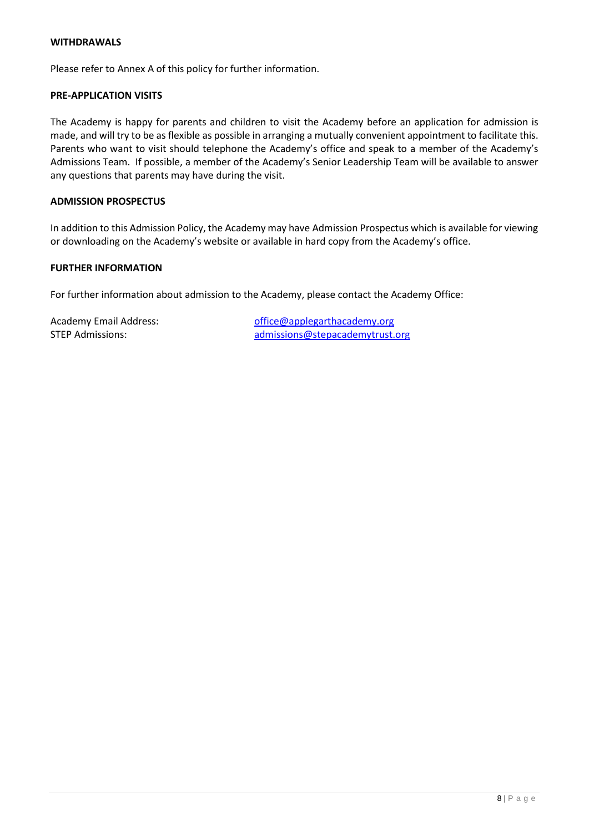#### **WITHDRAWALS**

Please refer to Annex A of this policy for further information.

#### **PRE-APPLICATION VISITS**

The Academy is happy for parents and children to visit the Academy before an application for admission is made, and will try to be as flexible as possible in arranging a mutually convenient appointment to facilitate this. Parents who want to visit should telephone the Academy's office and speak to a member of the Academy's Admissions Team. If possible, a member of the Academy's Senior Leadership Team will be available to answer any questions that parents may have during the visit.

## **ADMISSION PROSPECTUS**

In addition to this Admission Policy, the Academy may have Admission Prospectus which is available for viewing or downloading on the Academy's website or available in hard copy from the Academy's office.

#### **FURTHER INFORMATION**

For further information about admission to the Academy, please contact the Academy Office:

Academy Email Address: [office@applegarthacademy.org](mailto:office@applegarthacademy.org) STEP Admissions: [admissions@stepacademytrust.org](mailto:admissions@stepacademytrust.org)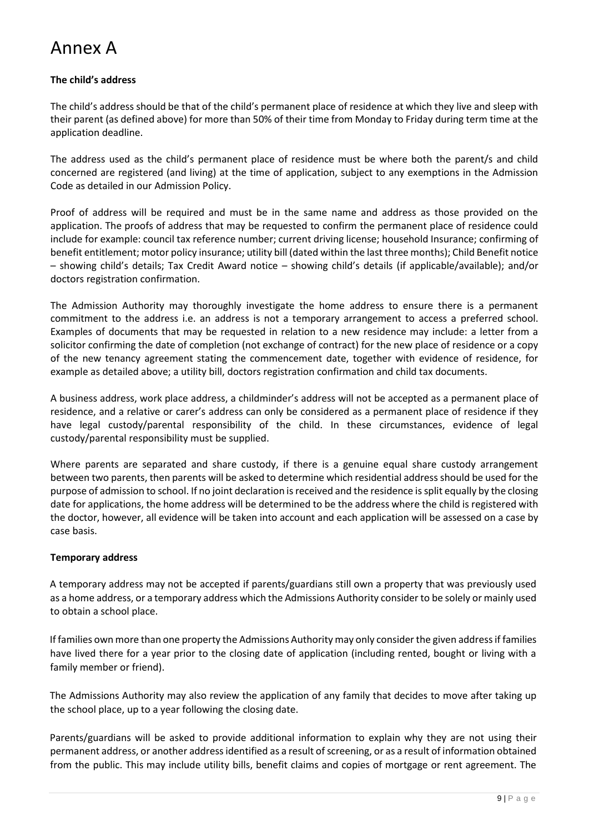# Annex A

## **The child's address**

The child's address should be that of the child's permanent place of residence at which they live and sleep with their parent (as defined above) for more than 50% of their time from Monday to Friday during term time at the application deadline.

The address used as the child's permanent place of residence must be where both the parent/s and child concerned are registered (and living) at the time of application, subject to any exemptions in the Admission Code as detailed in our Admission Policy.

Proof of address will be required and must be in the same name and address as those provided on the application. The proofs of address that may be requested to confirm the permanent place of residence could include for example: council tax reference number; current driving license; household Insurance; confirming of benefit entitlement; motor policy insurance; utility bill (dated within the last three months); Child Benefit notice – showing child's details; Tax Credit Award notice – showing child's details (if applicable/available); and/or doctors registration confirmation.

The Admission Authority may thoroughly investigate the home address to ensure there is a permanent commitment to the address i.e. an address is not a temporary arrangement to access a preferred school. Examples of documents that may be requested in relation to a new residence may include: a letter from a solicitor confirming the date of completion (not exchange of contract) for the new place of residence or a copy of the new tenancy agreement stating the commencement date, together with evidence of residence, for example as detailed above; a utility bill, doctors registration confirmation and child tax documents.

A business address, work place address, a childminder's address will not be accepted as a permanent place of residence, and a relative or carer's address can only be considered as a permanent place of residence if they have legal custody/parental responsibility of the child. In these circumstances, evidence of legal custody/parental responsibility must be supplied.

Where parents are separated and share custody, if there is a genuine equal share custody arrangement between two parents, then parents will be asked to determine which residential address should be used for the purpose of admission to school. If no joint declaration is received and the residence is split equally by the closing date for applications, the home address will be determined to be the address where the child is registered with the doctor, however, all evidence will be taken into account and each application will be assessed on a case by case basis.

## **Temporary address**

A temporary address may not be accepted if parents/guardians still own a property that was previously used as a home address, or a temporary address which the Admissions Authority consider to be solely or mainly used to obtain a school place.

If families own more than one property the Admissions Authority may only consider the given address if families have lived there for a year prior to the closing date of application (including rented, bought or living with a family member or friend).

The Admissions Authority may also review the application of any family that decides to move after taking up the school place, up to a year following the closing date.

Parents/guardians will be asked to provide additional information to explain why they are not using their permanent address, or another address identified as a result of screening, or as a result of information obtained from the public. This may include utility bills, benefit claims and copies of mortgage or rent agreement. The